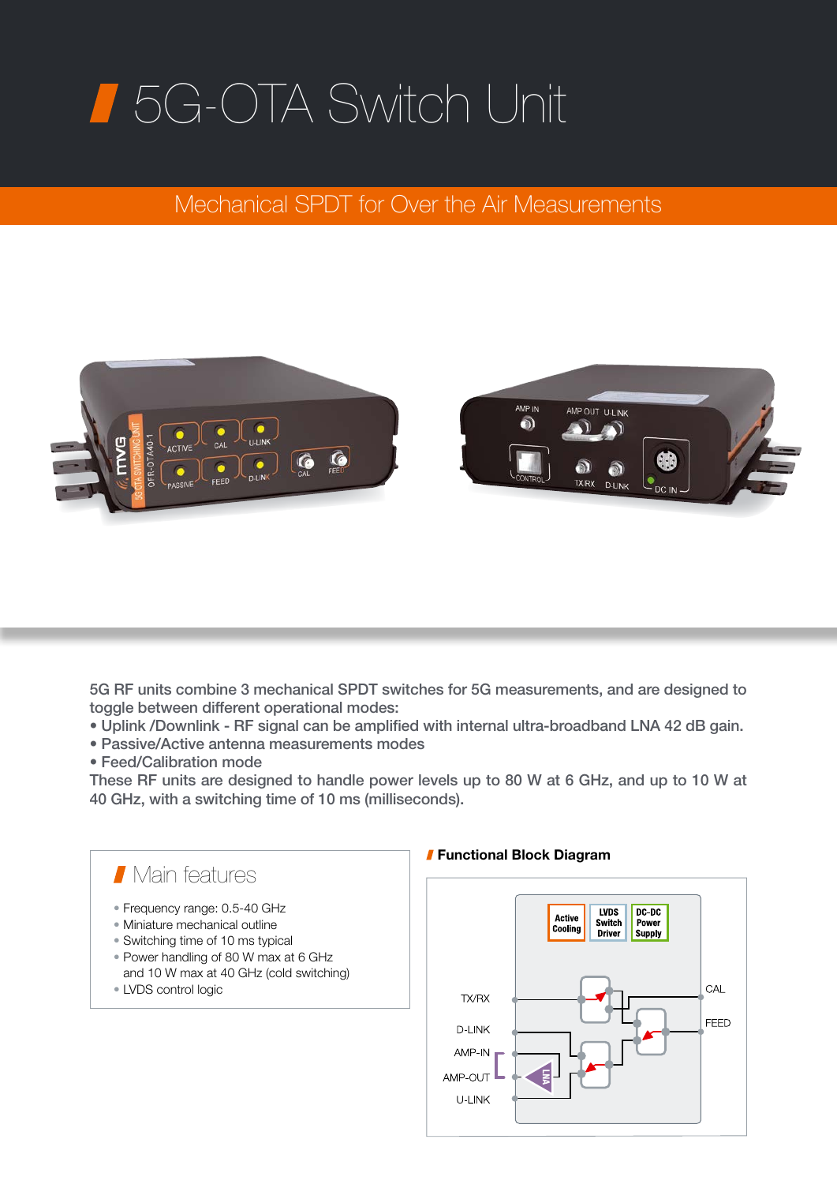## 5G-OTA Switch Unit

## Mechanical SPDT for Over the Air Measurements



5G RF units combine 3 mechanical SPDT switches for 5G measurements, and are designed to toggle between different operational modes:

- Uplink /Downlink RF signal can be amplified with internal ultra-broadband LNA 42 dB gain.
- Passive/Active antenna measurements modes
- Feed/Calibration mode

These RF units are designed to handle power levels up to 80 W at 6 GHz, and up to 10 W at 40 GHz, with a switching time of 10 ms (milliseconds).

CAL

**FEED**